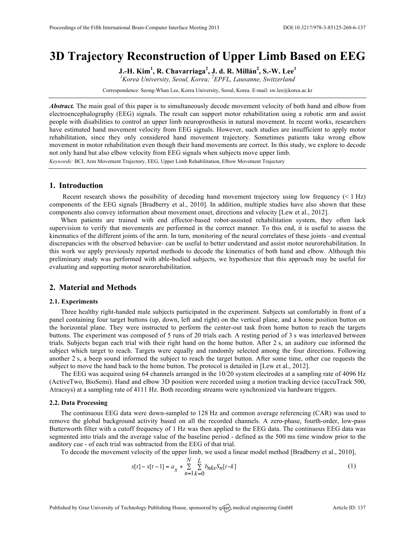# **3D Trajectory Reconstruction of Upper Limb Based on EEG**

**J.-H. Kim<sup>1</sup> , R. Chavarriaga<sup>2</sup> , J. d. R. Millán<sup>2</sup> , S.-W. Lee<sup>1</sup>**

*1 Korea University, Seoul, Korea; <sup>2</sup> EPFL, Lausanne, Switzerland*

Correspondence: Seong-Whan Lee, Korea University, Seoul, Korea. E-mail: sw.lee@korea.ac.kr

*Abstract.* The main goal of this paper is to simultaneously decode movement velocity of both hand and elbow from electroencephalography (EEG) signals. The result can support motor rehabilitation using a robotic arm and assist people with disabilities to control an upper limb neuroprosthesis in natural movement. In recent works, researchers have estimated hand movement velocity from EEG signals. However, such studies are insufficient to apply motor rehabilitation, since they only considered hand movement trajectory. Sometimes patients take wrong elbow movement in motor rehabilitation even though their hand movements are correct. In this study, we explore to decode not only hand but also elbow velocity from EEG signals when subjects move upper limb.

*Keywords:* BCI, Arm Movement Trajectory, EEG, Upper Limb Rehabilitation, Elbow Movement Trajectory

## **1. Introduction**

Recent research shows the possibility of decoding hand movement trajectory using low frequency (< 1 Hz) components of the EEG signals [Bradberry et al., 2010]. In addition, multiple studies have also shown that these components also convey information about movement onset, directions and velocity [Lew et al., 2012].

When patients are trained with end effector-based robot-assisted rehabilitation system, they often lack supervision to verify that movements are performed in the correct manner. To this end, it is useful to assess the kinematics of the different joints of the arm. In turn, monitoring of the neural correlates of these joints –and eventual discrepancies with the observed behavior- can be useful to better understand and assist motor neurorehabilitation. In this work we apply previously reported methods to decode the kinematics of both hand and elbow. Although this preliminary study was performed with able-bodied subjects, we hypothesize that this approach may be useful for evaluating and supporting motor neurorehabilitation.

## **2. Material and Methods**

### **2.1. Experiments**

Three healthy right-handed male subjects participated in the experiment. Subjects sat comfortably in front of a panel containing four target buttons (up, down, left and right) on the vertical plane, and a home position button on the horizontal plane. They were instructed to perform the center-out task from home button to reach the targets buttons. The experiment was composed of 5 runs of 20 trials each. A resting period of 3 s was interleaved between trials. Subjects began each trial with their right hand on the home button. After 2 s, an auditory cue informed the subject which target to reach. Targets were equally and randomly selected among the four directions. Following another 2 s, a beep sound informed the subject to reach the target button. After some time, other cue requests the subject to move the hand back to the home button. The protocol is detailed in [Lew et al., 2012].

The EEG was acquired using 64 channels arranged in the 10/20 system electrodes at a sampling rate of 4096 Hz (ActiveTwo, BioSemi). Hand and elbow 3D position were recorded using a motion tracking device (accuTrack 500, Atracsys) at a sampling rate of 4111 Hz. Both recording streams were synchronized via hardware triggers.

#### **2.2. Data Processing**

The continuous EEG data were down-sampled to 128 Hz and common average referencing (CAR) was used to remove the global background activity based on all the recorded channels. A zero-phase, fourth-order, low-pass Butterworth filter with a cutoff frequency of 1 Hz was then applied to the EEG data. The continuous EEG data was segmented into trials and the average value of the baseline period - defined as the 500 ms time window prior to the auditory cue - of each trial was subtracted from the EEG of that trial.

To decode the movement velocity of the upper limb, we used a linear model method [Bradberry et al., 2010],

$$
x[t] - x[t-1] = a_x + \sum_{n=1}^{N} \sum_{k=0}^{L} b_{nkx} S_n[t-k]
$$
 (1)